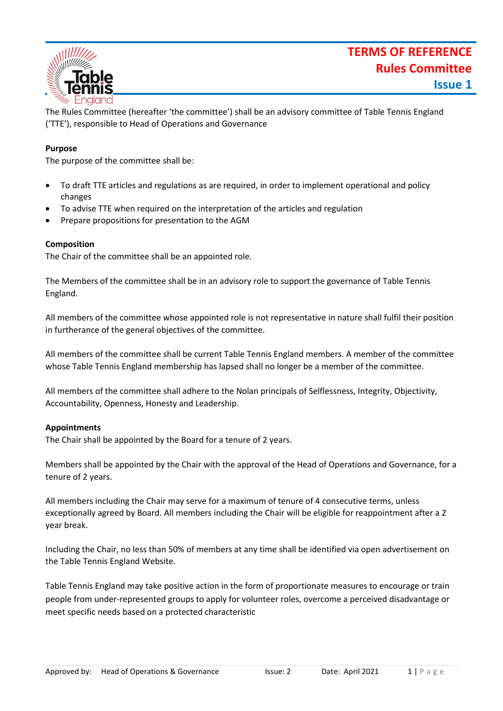# **TERMS OF REFERENCE Rules Committee Issue 1**



The Rules Committee (hereafter 'the committee') shall be an advisory committee of Table Tennis England ('TTE'), responsible to Head of Operations and Governance

### **Purpose**

The purpose of the committee shall be:

- To draft TTE articles and regulations as are required, in order to implement operational and policy changes
- To advise TTE when required on the interpretation of the articles and regulation
- Prepare propositions for presentation to the AGM

#### **Composition**

The Chair of the committee shall be an appointed role.

The Members of the committee shall be in an advisory role to support the governance of Table Tennis England.

All members of the committee whose appointed role is not representative in nature shall fulfil their position in furtherance of the general objectives of the committee.

All members of the committee shall be current Table Tennis England members. A member of the committee whose Table Tennis England membership has lapsed shall no longer be a member of the committee.

All members of the committee shall adhere to the Nolan principals of Selflessness, Integrity, Objectivity, Accountability, Openness, Honesty and Leadership.

#### **Appointments**

The Chair shall be appointed by the Board for a tenure of 2 years.

Members shall be appointed by the Chair with the approval of the Head of Operations and Governance, for a tenure of 2 years.

All members including the Chair may serve for a maximum of tenure of 4 consecutive terms, unless exceptionally agreed by Board. All members including the Chair will be eligible for reappointment after a 2 year break.

Including the Chair, no less than 50% of members at any time shall be identified via open advertisement on the Table Tennis England Website.

Table Tennis England may take positive action in the form of proportionate measures to encourage or train people from under-represented groups to apply for volunteer roles, overcome a perceived disadvantage or meet specific needs based on a protected characteristic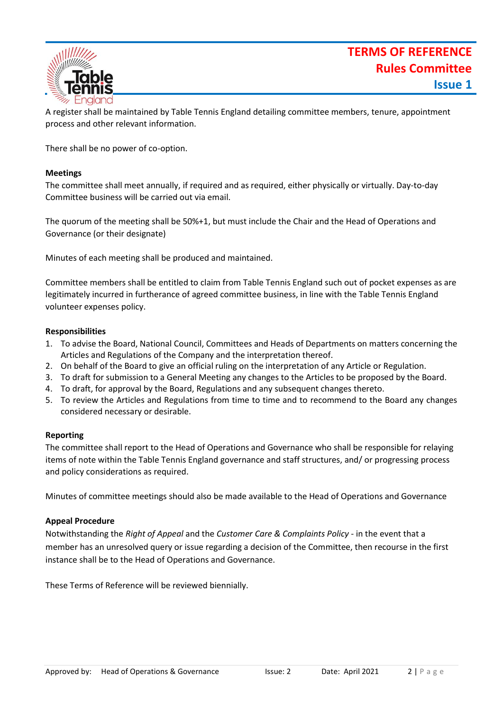# **TERMS OF REFERENCE Rules Committee Issue 1**



A register shall be maintained by Table Tennis England detailing committee members, tenure, appointment process and other relevant information.

There shall be no power of co-option.

#### **Meetings**

The committee shall meet annually, if required and as required, either physically or virtually. Day-to-day Committee business will be carried out via email.

The quorum of the meeting shall be 50%+1, but must include the Chair and the Head of Operations and Governance (or their designate)

Minutes of each meeting shall be produced and maintained.

Committee members shall be entitled to claim from Table Tennis England such out of pocket expenses as are legitimately incurred in furtherance of agreed committee business, in line with the Table Tennis England volunteer expenses policy.

#### **Responsibilities**

- 1. To advise the Board, National Council, Committees and Heads of Departments on matters concerning the Articles and Regulations of the Company and the interpretation thereof.
- 2. On behalf of the Board to give an official ruling on the interpretation of any Article or Regulation.
- 3. To draft for submission to a General Meeting any changes to the Articles to be proposed by the Board.
- 4. To draft, for approval by the Board, Regulations and any subsequent changes thereto.
- 5. To review the Articles and Regulations from time to time and to recommend to the Board any changes considered necessary or desirable.

#### **Reporting**

The committee shall report to the Head of Operations and Governance who shall be responsible for relaying items of note within the Table Tennis England governance and staff structures, and/ or progressing process and policy considerations as required.

Minutes of committee meetings should also be made available to the Head of Operations and Governance

#### **Appeal Procedure**

Notwithstanding the *Right of Appeal* and the *Customer Care & Complaints Policy* - in the event that a member has an unresolved query or issue regarding a decision of the Committee, then recourse in the first instance shall be to the Head of Operations and Governance.

These Terms of Reference will be reviewed biennially.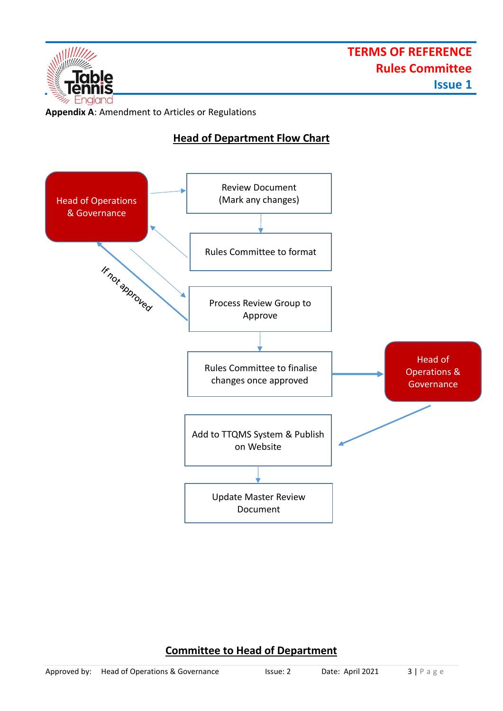

**Appendix A**: Amendment to Articles or Regulations

### **Head of Department Flow Chart**



## **Committee to Head of Department**